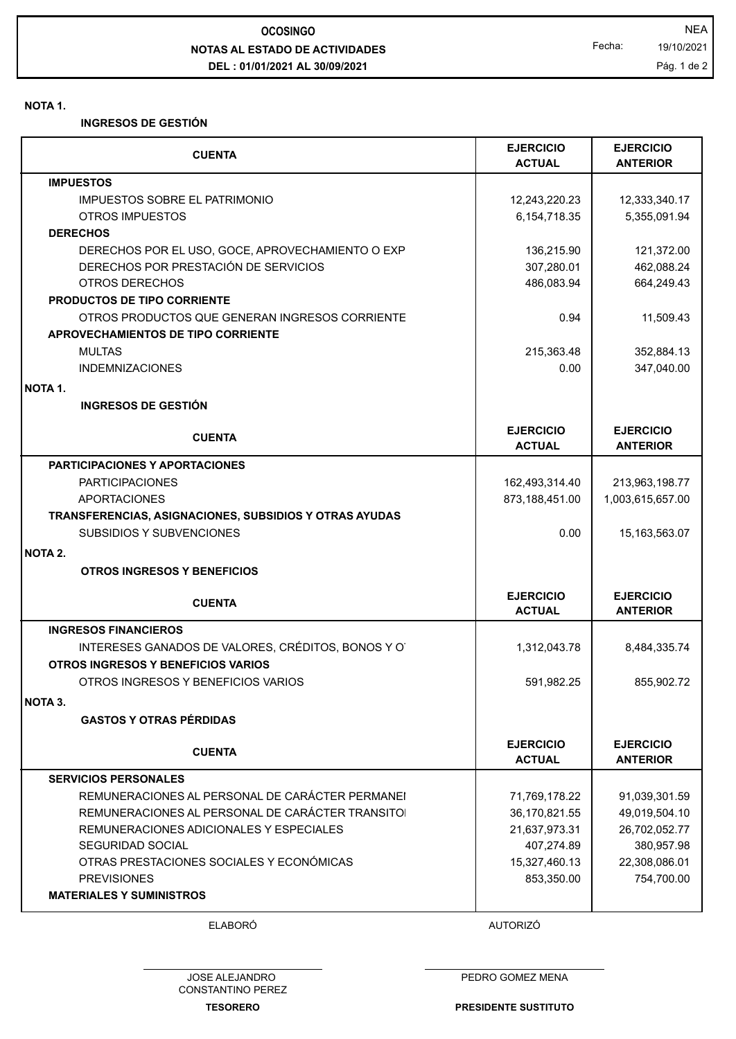## **NOTAS AL ESTADO DE ACTIVIDADES DEL : 01/01/2021 AL 30/09/2021 OCOSINGO** NEA

Fecha: 19/10/2021

Pág. 1 de 2

## **NOTA 1.**

**INGRESOS DE GESTIÓN**

| <b>CUENTA</b>                                          | <b>EJERCICIO</b><br><b>ACTUAL</b> | <b>EJERCICIO</b><br><b>ANTERIOR</b> |
|--------------------------------------------------------|-----------------------------------|-------------------------------------|
| <b>IMPUESTOS</b>                                       |                                   |                                     |
| <b>IMPUESTOS SOBRE EL PATRIMONIO</b>                   | 12,243,220.23                     | 12,333,340.17                       |
| OTROS IMPUESTOS                                        | 6,154,718.35                      | 5,355,091.94                        |
| <b>DERECHOS</b>                                        |                                   |                                     |
| DERECHOS POR EL USO, GOCE, APROVECHAMIENTO O EXP       | 136,215.90                        | 121,372.00                          |
| DERECHOS POR PRESTACIÓN DE SERVICIOS                   | 307,280.01                        | 462,088.24                          |
| OTROS DERECHOS                                         | 486,083.94                        | 664,249.43                          |
| PRODUCTOS DE TIPO CORRIENTE                            |                                   |                                     |
| OTROS PRODUCTOS QUE GENERAN INGRESOS CORRIENTE         | 0.94                              | 11,509.43                           |
| APROVECHAMIENTOS DE TIPO CORRIENTE                     |                                   |                                     |
| <b>MULTAS</b>                                          | 215,363.48                        | 352,884.13                          |
| <b>INDEMNIZACIONES</b>                                 | 0.00                              | 347,040.00                          |
| <b>NOTA 1.</b>                                         |                                   |                                     |
| <b>INGRESOS DE GESTIÓN</b>                             |                                   |                                     |
| <b>CUENTA</b>                                          | <b>EJERCICIO</b><br><b>ACTUAL</b> | <b>EJERCICIO</b><br><b>ANTERIOR</b> |
| <b>PARTICIPACIONES Y APORTACIONES</b>                  |                                   |                                     |
| <b>PARTICIPACIONES</b>                                 | 162,493,314.40                    | 213,963,198.77                      |
| <b>APORTACIONES</b>                                    | 873,188,451.00                    | 1,003,615,657.00                    |
| TRANSFERENCIAS, ASIGNACIONES, SUBSIDIOS Y OTRAS AYUDAS |                                   |                                     |
| <b>SUBSIDIOS Y SUBVENCIONES</b>                        | 0.00                              | 15,163,563.07                       |
| NOTA 2.                                                |                                   |                                     |
| <b>OTROS INGRESOS Y BENEFICIOS</b>                     |                                   |                                     |
| <b>CUENTA</b>                                          | <b>EJERCICIO</b><br><b>ACTUAL</b> | <b>EJERCICIO</b><br><b>ANTERIOR</b> |
| <b>INGRESOS FINANCIEROS</b>                            |                                   |                                     |
| INTERESES GANADOS DE VALORES, CRÉDITOS, BONOS Y O      | 1,312,043.78                      | 8,484,335.74                        |
| OTROS INGRESOS Y BENEFICIOS VARIOS                     |                                   |                                     |
| OTROS INGRESOS Y BENEFICIOS VARIOS                     | 591,982.25                        | 855,902.72                          |
| NOTA 3.                                                |                                   |                                     |
| <b>GASTOS Y OTRAS PÉRDIDAS</b>                         |                                   |                                     |
|                                                        |                                   |                                     |
| <b>CUENTA</b>                                          | <b>EJERCICIO</b><br><b>ACTUAL</b> | <b>EJERCICIO</b><br><b>ANTERIOR</b> |
| <b>SERVICIOS PERSONALES</b>                            |                                   |                                     |
| REMUNERACIONES AL PERSONAL DE CARÁCTER PERMANEI        | 71,769,178.22                     | 91,039,301.59                       |
| REMUNERACIONES AL PERSONAL DE CARÁCTER TRANSITO        | 36,170,821.55                     | 49,019,504.10                       |
| REMUNERACIONES ADICIONALES Y ESPECIALES                | 21,637,973.31                     | 26,702,052.77                       |
| SEGURIDAD SOCIAL                                       | 407,274.89                        | 380,957.98                          |
| OTRAS PRESTACIONES SOCIALES Y ECONÓMICAS               | 15,327,460.13                     | 22,308,086.01                       |
| <b>PREVISIONES</b>                                     | 853,350.00                        | 754,700.00                          |
| <b>MATERIALES Y SUMINISTROS</b>                        |                                   |                                     |
|                                                        |                                   |                                     |

ELABORÓ AUTORIZÓ